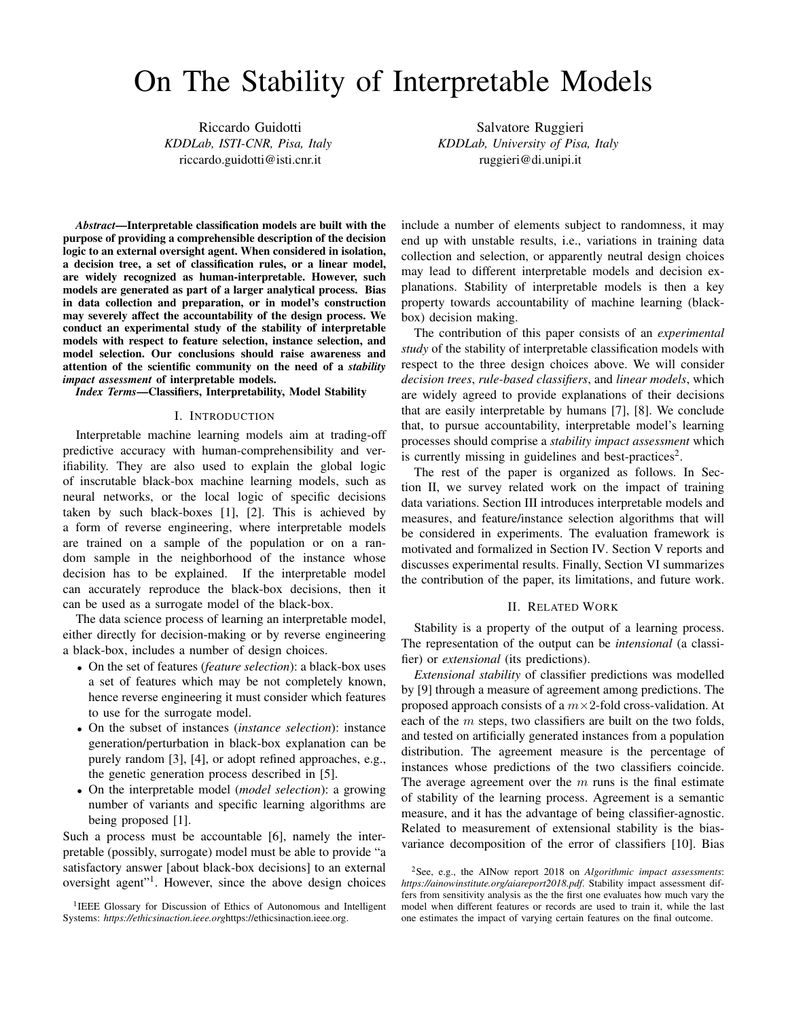# On The Stability of Interpretable Models

Riccardo Guidotti *KDDLab, ISTI-CNR, Pisa, Italy* riccardo.guidotti@isti.cnr.it

Salvatore Ruggieri *KDDLab, University of Pisa, Italy* ruggieri@di.unipi.it

*Abstract*—Interpretable classification models are built with the purpose of providing a comprehensible description of the decision logic to an external oversight agent. When considered in isolation, a decision tree, a set of classification rules, or a linear model, are widely recognized as human-interpretable. However, such models are generated as part of a larger analytical process. Bias in data collection and preparation, or in model's construction may severely affect the accountability of the design process. We conduct an experimental study of the stability of interpretable models with respect to feature selection, instance selection, and model selection. Our conclusions should raise awareness and attention of the scientific community on the need of a *stability impact assessment* of interpretable models.

*Index Terms*—Classifiers, Interpretability, Model Stability

#### I. INTRODUCTION

Interpretable machine learning models aim at trading-off predictive accuracy with human-comprehensibility and verifiability. They are also used to explain the global logic of inscrutable black-box machine learning models, such as neural networks, or the local logic of specific decisions taken by such black-boxes [1], [2]. This is achieved by a form of reverse engineering, where interpretable models are trained on a sample of the population or on a random sample in the neighborhood of the instance whose decision has to be explained. If the interpretable model can accurately reproduce the black-box decisions, then it can be used as a surrogate model of the black-box.

The data science process of learning an interpretable model, either directly for decision-making or by reverse engineering a black-box, includes a number of design choices.

- On the set of features (*feature selection*): a black-box uses a set of features which may be not completely known, hence reverse engineering it must consider which features to use for the surrogate model.
- On the subset of instances (*instance selection*): instance generation/perturbation in black-box explanation can be purely random [3], [4], or adopt refined approaches, e.g., the genetic generation process described in [5].
- On the interpretable model (*model selection*): a growing number of variants and specific learning algorithms are being proposed [1].

Such a process must be accountable [6], namely the interpretable (possibly, surrogate) model must be able to provide "a satisfactory answer [about black-box decisions] to an external oversight agent"<sup>1</sup> . However, since the above design choices

<sup>1</sup>IEEE Glossary for Discussion of Ethics of Autonomous and Intelligent Systems: *https://ethicsinaction.ieee.org*https://ethicsinaction.ieee.org.

include a number of elements subject to randomness, it may end up with unstable results, i.e., variations in training data collection and selection, or apparently neutral design choices may lead to different interpretable models and decision explanations. Stability of interpretable models is then a key property towards accountability of machine learning (blackbox) decision making.

The contribution of this paper consists of an *experimental study* of the stability of interpretable classification models with respect to the three design choices above. We will consider *decision trees*, *rule-based classifiers*, and *linear models*, which are widely agreed to provide explanations of their decisions that are easily interpretable by humans [7], [8]. We conclude that, to pursue accountability, interpretable model's learning processes should comprise a *stability impact assessment* which is currently missing in guidelines and best-practices<sup>2</sup>.

The rest of the paper is organized as follows. In Section II, we survey related work on the impact of training data variations. Section III introduces interpretable models and measures, and feature/instance selection algorithms that will be considered in experiments. The evaluation framework is motivated and formalized in Section IV. Section V reports and discusses experimental results. Finally, Section VI summarizes the contribution of the paper, its limitations, and future work.

### II. RELATED WORK

Stability is a property of the output of a learning process. The representation of the output can be *intensional* (a classifier) or *extensional* (its predictions).

*Extensional stability* of classifier predictions was modelled by [9] through a measure of agreement among predictions. The proposed approach consists of a  $m \times 2$ -fold cross-validation. At each of the  $m$  steps, two classifiers are built on the two folds, and tested on artificially generated instances from a population distribution. The agreement measure is the percentage of instances whose predictions of the two classifiers coincide. The average agreement over the  $m$  runs is the final estimate of stability of the learning process. Agreement is a semantic measure, and it has the advantage of being classifier-agnostic. Related to measurement of extensional stability is the biasvariance decomposition of the error of classifiers [10]. Bias

<sup>2</sup>See, e.g., the AINow report 2018 on *Algorithmic impact assessments*: *https://ainowinstitute.org/aiareport2018.pdf*. Stability impact assessment differs from sensitivity analysis as the the first one evaluates how much vary the model when different features or records are used to train it, while the last one estimates the impact of varying certain features on the final outcome.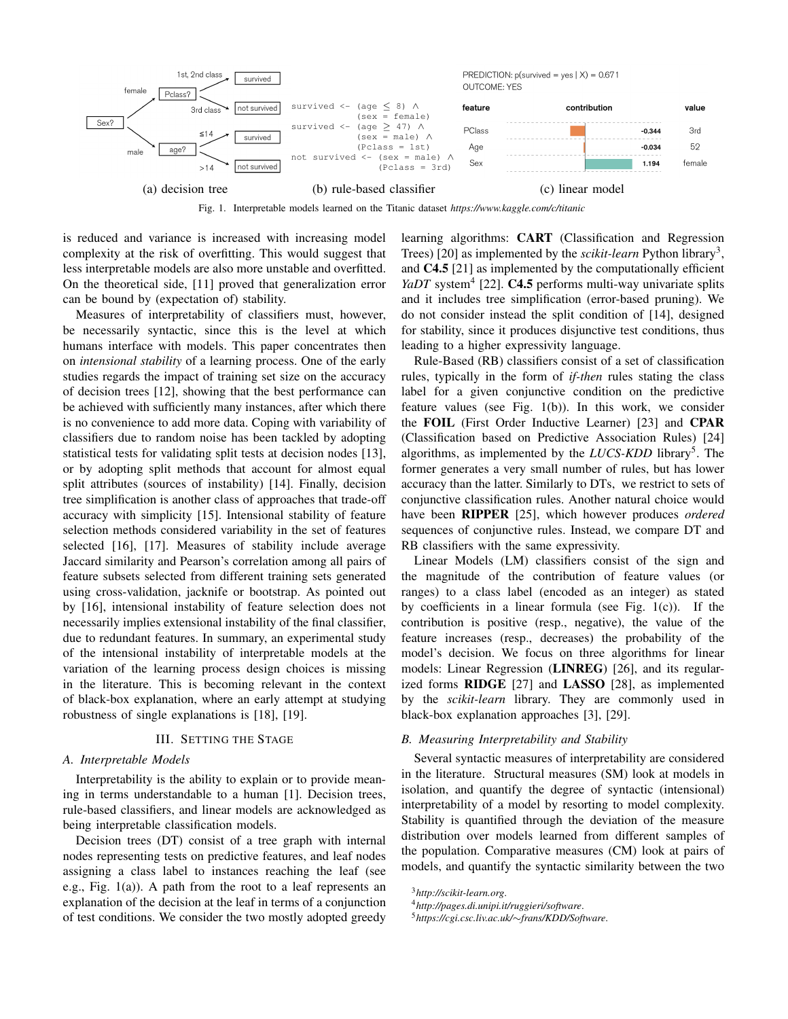

Fig. 1. Interpretable models learned on the Titanic dataset *https://www.kaggle.com/c/titanic*

is reduced and variance is increased with increasing model complexity at the risk of overfitting. This would suggest that less interpretable models are also more unstable and overfitted. On the theoretical side, [11] proved that generalization error can be bound by (expectation of) stability.

Measures of interpretability of classifiers must, however, be necessarily syntactic, since this is the level at which humans interface with models. This paper concentrates then on *intensional stability* of a learning process. One of the early studies regards the impact of training set size on the accuracy of decision trees [12], showing that the best performance can be achieved with sufficiently many instances, after which there is no convenience to add more data. Coping with variability of classifiers due to random noise has been tackled by adopting statistical tests for validating split tests at decision nodes [13], or by adopting split methods that account for almost equal split attributes (sources of instability) [14]. Finally, decision tree simplification is another class of approaches that trade-off accuracy with simplicity [15]. Intensional stability of feature selection methods considered variability in the set of features selected [16], [17]. Measures of stability include average Jaccard similarity and Pearson's correlation among all pairs of feature subsets selected from different training sets generated using cross-validation, jacknife or bootstrap. As pointed out by [16], intensional instability of feature selection does not necessarily implies extensional instability of the final classifier, due to redundant features. In summary, an experimental study of the intensional instability of interpretable models at the variation of the learning process design choices is missing in the literature. This is becoming relevant in the context of black-box explanation, where an early attempt at studying robustness of single explanations is [18], [19].

#### III. SETTING THE STAGE

#### *A. Interpretable Models*

Interpretability is the ability to explain or to provide meaning in terms understandable to a human [1]. Decision trees, rule-based classifiers, and linear models are acknowledged as being interpretable classification models.

Decision trees (DT) consist of a tree graph with internal nodes representing tests on predictive features, and leaf nodes assigning a class label to instances reaching the leaf (see e.g., Fig. 1(a)). A path from the root to a leaf represents an explanation of the decision at the leaf in terms of a conjunction of test conditions. We consider the two mostly adopted greedy learning algorithms: CART (Classification and Regression Trees) [20] as implemented by the *scikit-learn* Python library<sup>3</sup>, and C4.5 [21] as implemented by the computationally efficient YaDT system<sup>4</sup> [22]. C4.5 performs multi-way univariate splits and it includes tree simplification (error-based pruning). We do not consider instead the split condition of [14], designed for stability, since it produces disjunctive test conditions, thus leading to a higher expressivity language.

Rule-Based (RB) classifiers consist of a set of classification rules, typically in the form of *if-then* rules stating the class label for a given conjunctive condition on the predictive feature values (see Fig. 1(b)). In this work, we consider the FOIL (First Order Inductive Learner) [23] and CPAR (Classification based on Predictive Association Rules) [24] algorithms, as implemented by the *LUCS-KDD* library<sup>5</sup>. The former generates a very small number of rules, but has lower accuracy than the latter. Similarly to DTs, we restrict to sets of conjunctive classification rules. Another natural choice would have been RIPPER [25], which however produces *ordered* sequences of conjunctive rules. Instead, we compare DT and RB classifiers with the same expressivity.

Linear Models (LM) classifiers consist of the sign and the magnitude of the contribution of feature values (or ranges) to a class label (encoded as an integer) as stated by coefficients in a linear formula (see Fig.  $1(c)$ ). If the contribution is positive (resp., negative), the value of the feature increases (resp., decreases) the probability of the model's decision. We focus on three algorithms for linear models: Linear Regression (LINREG) [26], and its regularized forms RIDGE [27] and LASSO [28], as implemented by the *scikit-learn* library. They are commonly used in black-box explanation approaches [3], [29].

#### *B. Measuring Interpretability and Stability*

Several syntactic measures of interpretability are considered in the literature. Structural measures (SM) look at models in isolation, and quantify the degree of syntactic (intensional) interpretability of a model by resorting to model complexity. Stability is quantified through the deviation of the measure distribution over models learned from different samples of the population. Comparative measures (CM) look at pairs of models, and quantify the syntactic similarity between the two

<sup>3</sup>*http://scikit-learn.org*.

<sup>4</sup>*http://pages.di.unipi.it/ruggieri/software*.

<sup>5</sup>*https://cgi.csc.liv.ac.uk/*∼*frans/KDD/Software*.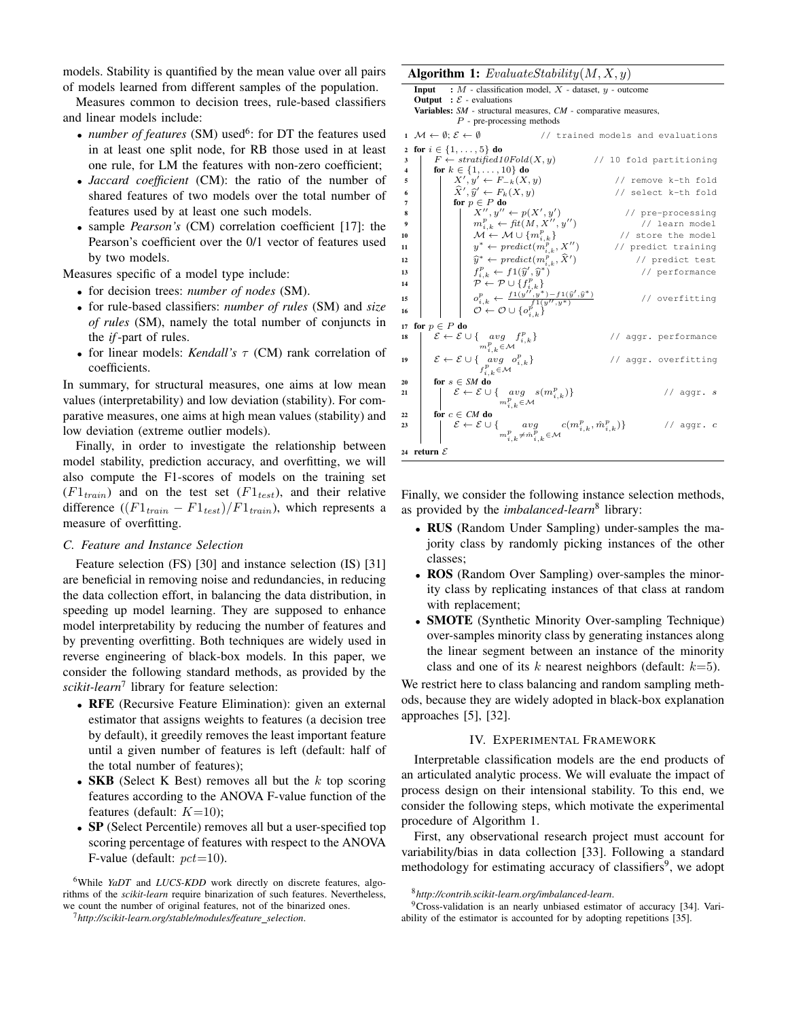models. Stability is quantified by the mean value over all pairs of models learned from different samples of the population.

Measures common to decision trees, rule-based classifiers and linear models include:

- *number of features* (SM) used<sup>6</sup>: for DT the features used in at least one split node, for RB those used in at least one rule, for LM the features with non-zero coefficient;
- *Jaccard coefficient* (CM): the ratio of the number of shared features of two models over the total number of features used by at least one such models.
- sample *Pearson's* (CM) correlation coefficient [17]: the Pearson's coefficient over the 0/1 vector of features used by two models.

Measures specific of a model type include:

- for decision trees: *number of nodes* (SM).
- for rule-based classifiers: *number of rules* (SM) and *size of rules* (SM), namely the total number of conjuncts in the *if*-part of rules.
- for linear models: *Kendall's* τ (CM) rank correlation of coefficients.

In summary, for structural measures, one aims at low mean values (interpretability) and low deviation (stability). For comparative measures, one aims at high mean values (stability) and low deviation (extreme outlier models).

Finally, in order to investigate the relationship between model stability, prediction accuracy, and overfitting, we will also compute the F1-scores of models on the training set  $(F1_{train})$  and on the test set  $(F1_{test})$ , and their relative difference  $((F1_{train} - F1_{test})/F1_{train})$ , which represents a measure of overfitting.

# *C. Feature and Instance Selection*

Feature selection (FS) [30] and instance selection (IS) [31] are beneficial in removing noise and redundancies, in reducing the data collection effort, in balancing the data distribution, in speeding up model learning. They are supposed to enhance model interpretability by reducing the number of features and by preventing overfitting. Both techniques are widely used in reverse engineering of black-box models. In this paper, we consider the following standard methods, as provided by the *scikit-learn*<sup>7</sup> library for feature selection:

- RFE (Recursive Feature Elimination): given an external estimator that assigns weights to features (a decision tree by default), it greedily removes the least important feature until a given number of features is left (default: half of the total number of features);
- SKB (Select K Best) removes all but the  $k$  top scoring features according to the ANOVA F-value function of the features (default:  $K=10$ );
- SP (Select Percentile) removes all but a user-specified top scoring percentage of features with respect to the ANOVA F-value (default:  $pct=10$ ).

<sup>6</sup>While *YaDT* and *LUCS-KDD* work directly on discrete features, algorithms of the *scikit-learn* require binarization of such features. Nevertheless, we count the number of original features, not of the binarized ones.

<sup>7</sup>*http://scikit-learn.org/stable/modules/feature selection*.

#### Algorithm 1:  $Evaluate Stability(M, X, y)$

**Input** :  $M$  - classification model,  $\overline{X}$  - dataset,  $y$  - outcome **Output** :  $\mathcal{E}$  - evaluations Variables: *SM* - structural measures, *CM* - comparative measures,

 $\mathcal P$  - pre-processing methods

|                         | $1 \mathcal{M} \leftarrow \emptyset; \mathcal{E} \leftarrow \emptyset$                                                                                                                                                                                     | // trained models and evaluations |
|-------------------------|------------------------------------------------------------------------------------------------------------------------------------------------------------------------------------------------------------------------------------------------------------|-----------------------------------|
|                         | 2 for $i \in \{1, , 5\}$ do                                                                                                                                                                                                                                |                                   |
| 3                       | $F \leftarrow stratified10Fold(X, y)$                                                                                                                                                                                                                      | // 10 fold partitioning           |
| $\overline{\mathbf{4}}$ | for $k \in \{1, , 10\}$ do                                                                                                                                                                                                                                 |                                   |
| 5                       | $X', y' \leftarrow F_{-k}(X, y)$                                                                                                                                                                                                                           | // remove k-th fold               |
| 6                       | $\hat{X}', \hat{y}' \leftarrow F_k(X, y)$                                                                                                                                                                                                                  | // select k-th fold               |
| 7                       | for $p \in P$ do                                                                                                                                                                                                                                           |                                   |
| 8                       | $X'', y'' \leftarrow p(X', y')$                                                                                                                                                                                                                            | // pre-processing                 |
| $\boldsymbol{9}$        | $\boldsymbol{m}_{i.k}^p \leftarrow \operatorname{fit}(M, \boldsymbol{X}^{\prime\prime}, \boldsymbol{y}^{\prime\prime})$                                                                                                                                    | // learn model                    |
| 10                      | $\mathcal{M} \leftarrow \mathcal{M} \cup \{m_{i,k}^p\}$                                                                                                                                                                                                    | // store the model                |
| 11                      | $y^* \leftarrow predict(m_{i,k}^p, X'')$                                                                                                                                                                                                                   | // predict training               |
| 12                      | $\widehat{y}^* \leftarrow predict(m_{i,k}^p, \widehat{X}')$                                                                                                                                                                                                | // predict test                   |
| 13                      | $f_{i,k}^p \leftarrow f1(\widehat{y}', \widehat{y}^*)$                                                                                                                                                                                                     | // performance                    |
| 14                      | $\mathcal{P} \leftarrow \mathcal{P} \cup \{f_{i,k}^p\}$                                                                                                                                                                                                    |                                   |
| 15                      | $\mathcal{O}_{i,k}^{p} \leftarrow \frac{f1(\boldsymbol{y''}, \boldsymbol{y^{*}}) - f1(\boldsymbol{\hat{y}'}, \boldsymbol{\hat{y^{*}}})}{f^{1}(\boldsymbol{y''}, \boldsymbol{y^{*}})} \\ \mathcal{O} \leftarrow \mathcal{O} \cup \big\{ o_{i,k}^{p} \big\}$ | // overfitting                    |
|                         |                                                                                                                                                                                                                                                            |                                   |
| 16                      |                                                                                                                                                                                                                                                            |                                   |
| 17                      | for $p \in P$ do                                                                                                                                                                                                                                           |                                   |
| 18                      | $\mathcal{E} \leftarrow \mathcal{E} \cup \{ \underset{m_{i,k}^p \in \mathcal{M}}{avg} f_{i,k}^p \}$                                                                                                                                                        | // aggr. performance              |
|                         |                                                                                                                                                                                                                                                            |                                   |
| 19                      | $\mathcal{E} \leftarrow \mathcal{E} \cup \{ \underset{f_{i,k}^p \in \mathcal{M}}{avg} o_{i,k}^p \}$                                                                                                                                                        | // aggr. overfitting              |
|                         |                                                                                                                                                                                                                                                            |                                   |
| 20                      | for $s \in SM$ do                                                                                                                                                                                                                                          |                                   |
| 21                      | $\mathcal{E} \leftarrow \mathcal{E} \cup \{ \underset{\substack{m_{i,k}^{p} \in \mathcal{M} \\ n_{i,k}^{p} \in \mathcal{M}}} {\text{arg}} \ s(m_{i,k}^{p}) \}$                                                                                             | // $aggr. s$                      |
|                         |                                                                                                                                                                                                                                                            |                                   |
| 22                      | for $c \in CM$ do                                                                                                                                                                                                                                          |                                   |
| 23                      | $\mathcal{E} \leftarrow \mathcal{E} \cup \{ \underset{\substack{m_{i,k}^{p} \neq \hat{m}_{i,k}^{p} \in \mathcal{M} \\ k \neq j}}{avg} c(m_{i,k}^{p}, \hat{m}_{i,k}^{p}) \}$                                                                                | // $aggr.c$                       |
|                         |                                                                                                                                                                                                                                                            |                                   |
|                         | 24 $\,$ return $\,\mathcal{E}$                                                                                                                                                                                                                             |                                   |

Finally, we consider the following instance selection methods, as provided by the *imbalanced-learn*<sup>8</sup> library:

- RUS (Random Under Sampling) under-samples the majority class by randomly picking instances of the other classes;
- ROS (Random Over Sampling) over-samples the minority class by replicating instances of that class at random with replacement;
- **SMOTE** (Synthetic Minority Over-sampling Technique) over-samples minority class by generating instances along the linear segment between an instance of the minority class and one of its k nearest neighbors (default:  $k=5$ ).

We restrict here to class balancing and random sampling methods, because they are widely adopted in black-box explanation approaches [5], [32].

#### IV. EXPERIMENTAL FRAMEWORK

Interpretable classification models are the end products of an articulated analytic process. We will evaluate the impact of process design on their intensional stability. To this end, we consider the following steps, which motivate the experimental procedure of Algorithm 1.

First, any observational research project must account for variability/bias in data collection [33]. Following a standard methodology for estimating accuracy of classifiers<sup>9</sup>, we adopt

<sup>8</sup>*http://contrib.scikit-learn.org/imbalanced-learn*.

<sup>9</sup>Cross-validation is an nearly unbiased estimator of accuracy [34]. Variability of the estimator is accounted for by adopting repetitions [35].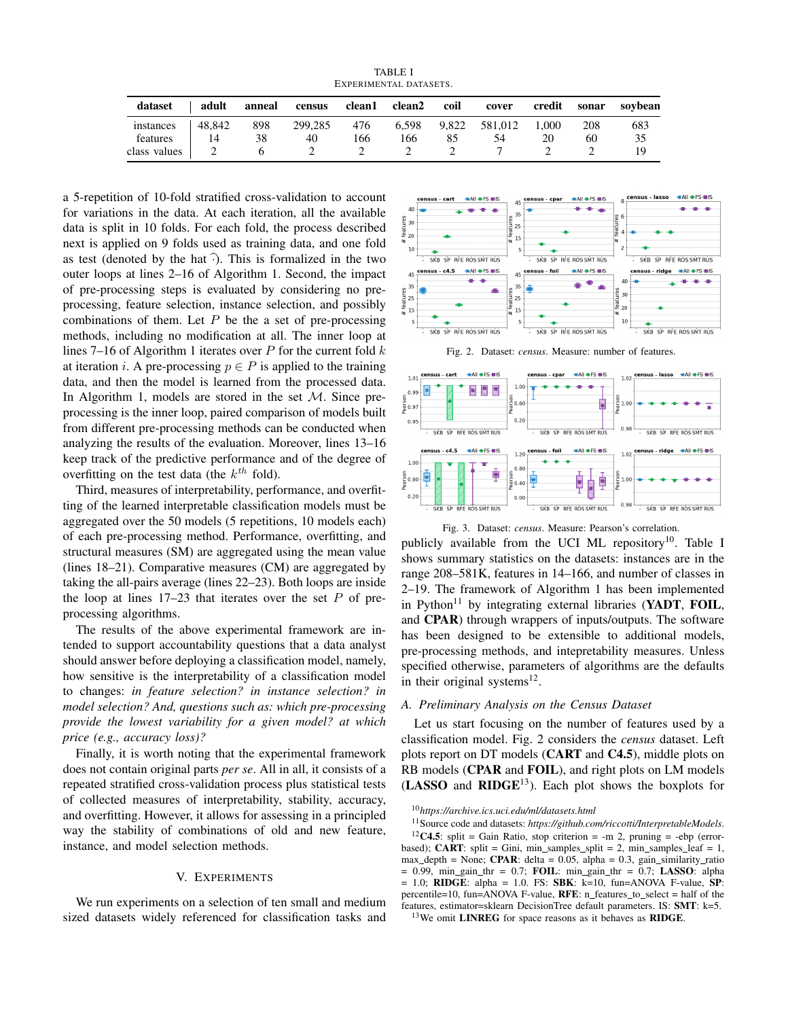TABLE I EXPERIMENTAL DATASETS.

| dataset               | adult        | anneal    | census        |            | clean1 clean2 | coil | cover                           |    | credit sonar | sovbean   |
|-----------------------|--------------|-----------|---------------|------------|---------------|------|---------------------------------|----|--------------|-----------|
| instances<br>features | 48.842<br>14 | 898<br>38 | 299,285<br>40 | 476<br>.66 | 166           | 85   | 6,598 9,822 581,012 1,000<br>54 | 20 | 208<br>60    | 683<br>35 |
| class values          |              |           |               |            |               |      |                                 |    |              |           |

a 5-repetition of 10-fold stratified cross-validation to account for variations in the data. At each iteration, all the available data is split in 10 folds. For each fold, the process described next is applied on 9 folds used as training data, and one fold as test (denoted by the hat  $\widehat{\cdot}$ ). This is formalized in the two outer loops at lines 2–16 of Algorithm 1. Second, the impact of pre-processing steps is evaluated by considering no preprocessing, feature selection, instance selection, and possibly combinations of them. Let  $P$  be the a set of pre-processing methods, including no modification at all. The inner loop at lines 7–16 of Algorithm 1 iterates over  $P$  for the current fold  $k$ at iteration *i*. A pre-processing  $p \in P$  is applied to the training data, and then the model is learned from the processed data. In Algorithm 1, models are stored in the set  $M$ . Since preprocessing is the inner loop, paired comparison of models built from different pre-processing methods can be conducted when analyzing the results of the evaluation. Moreover, lines 13–16 keep track of the predictive performance and of the degree of overfitting on the test data (the  $k^{th}$  fold).

Third, measures of interpretability, performance, and overfitting of the learned interpretable classification models must be aggregated over the 50 models (5 repetitions, 10 models each) of each pre-processing method. Performance, overfitting, and structural measures (SM) are aggregated using the mean value (lines 18–21). Comparative measures (CM) are aggregated by taking the all-pairs average (lines 22–23). Both loops are inside the loop at lines  $17-23$  that iterates over the set P of preprocessing algorithms.

The results of the above experimental framework are intended to support accountability questions that a data analyst should answer before deploying a classification model, namely, how sensitive is the interpretability of a classification model to changes: *in feature selection? in instance selection? in model selection? And, questions such as: which pre-processing provide the lowest variability for a given model? at which price (e.g., accuracy loss)?*

Finally, it is worth noting that the experimental framework does not contain original parts *per se*. All in all, it consists of a repeated stratified cross-validation process plus statistical tests of collected measures of interpretability, stability, accuracy, and overfitting. However, it allows for assessing in a principled way the stability of combinations of old and new feature, instance, and model selection methods.

### V. EXPERIMENTS

We run experiments on a selection of ten small and medium sized datasets widely referenced for classification tasks and



Fig. 2. Dataset: *census*. Measure: number of features



Fig. 3. Dataset: *census*. Measure: Pearson's correlation.

publicly available from the UCI ML repository<sup>10</sup>. Table I shows summary statistics on the datasets: instances are in the range 208–581K, features in 14–166, and number of classes in 2–19. The framework of Algorithm 1 has been implemented in Python<sup>11</sup> by integrating external libraries (YADT, FOIL, and CPAR) through wrappers of inputs/outputs. The software has been designed to be extensible to additional models, pre-processing methods, and intepretability measures. Unless specified otherwise, parameters of algorithms are the defaults in their original systems $^{12}$ .

#### *A. Preliminary Analysis on the Census Dataset*

Let us start focusing on the number of features used by a classification model. Fig. 2 considers the *census* dataset. Left plots report on DT models (CART and C4.5), middle plots on RB models (CPAR and FOIL), and right plots on LM models  $(LASSO)$  and  $RIDGE<sup>13</sup>)$ . Each plot shows the boxplots for

<sup>10</sup>*https://archive.ics.uci.edu/ml/datasets.html*

<sup>11</sup>Source code and datasets: *https://github.com/riccotti/InterpretableModels*. <sup>12</sup>C4.5: split = Gain Ratio, stop criterion = -m 2, pruning = -ebp (error-

based); CART: split = Gini, min\_samples\_split = 2, min\_samples\_leaf = 1, max depth = None; **CPAR**: delta =  $0.05$ , alpha =  $0.3$ , gain similarity ratio  $= 0.99$ , min\_gain\_thr = 0.7; FOIL: min\_gain\_thr = 0.7; LASSO: alpha 1.0; **RIDGE**: alpha = 1.0. FS: **SBK**:  $k=10$ , fun=ANOVA F-value, **SP**: percentile=10, fun=ANOVA F-value, **RFE**:  $n$  features to select = half of the features, estimator=sklearn DecisionTree default parameters. IS: SMT: k=5.

<sup>&</sup>lt;sup>13</sup>We omit LINREG for space reasons as it behaves as RIDGE.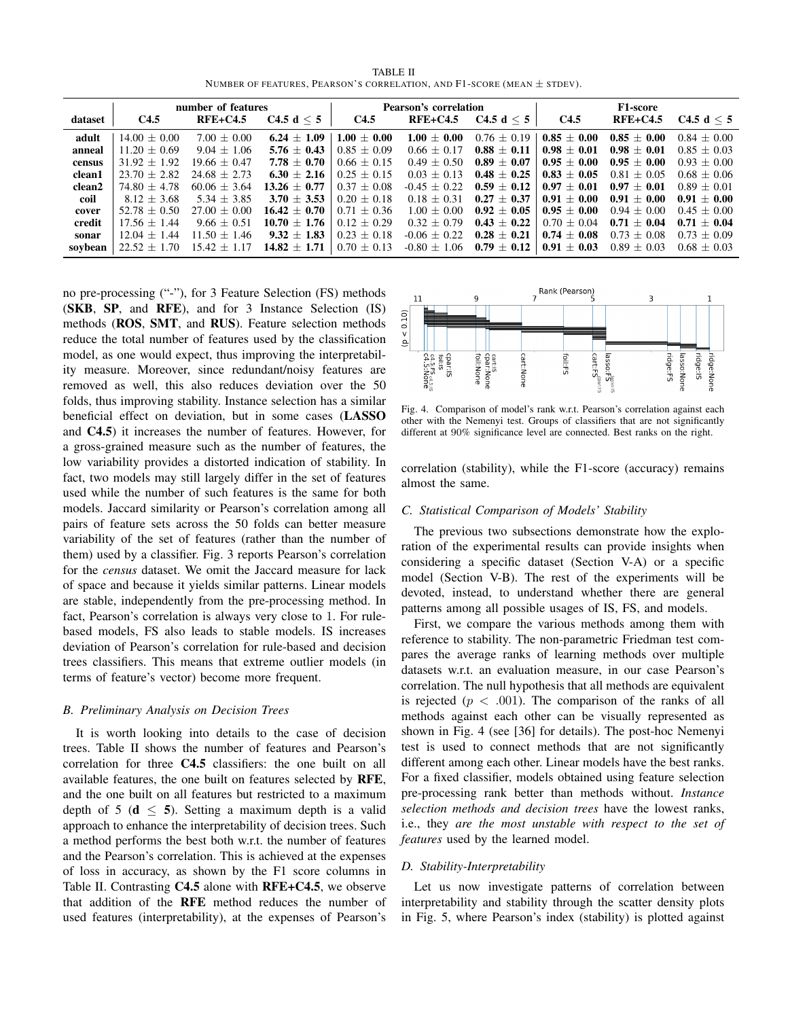TABLE II NUMBER OF FEATURES, PEARSON'S CORRELATION, AND  $F1$ -SCORE (MEAN  $\pm$  STDEV).

|         |                   | number of features |                  |                 | <b>Pearson's correlation</b> |                 | <b>F1-score</b>   |                 |                 |  |
|---------|-------------------|--------------------|------------------|-----------------|------------------------------|-----------------|-------------------|-----------------|-----------------|--|
| dataset | C4.5              | $RFE+C4.5$         | C4.5 d $\leq 5$  | C4.5            | $RFE+C4.5$                   | C4.5 d $\leq 5$ | C <sub>4.5</sub>  | $RFE+C4.5$      | C4.5 d $\leq$ 5 |  |
| adult   | $14.00 + 0.00$    | $7.00 \pm 0.00$    | $6.24 + 1.09$    | $1.00 \pm 0.00$ | $1.00 + 0.00$                | $0.76 + 0.19$   | $0.85 + 0.00$     | $0.85 + 0.00$   | $0.84 \pm 0.00$ |  |
| anneal  | $11.20 + 0.69$    | $9.04 \pm 1.06$    | $5.76 \pm 0.43$  | $0.85 + 0.09$   | $0.66 + 0.17$                | $0.88 \pm 0.11$ | $0.98\,\pm\,0.01$ | $0.98 + 0.01$   | $0.85 + 0.03$   |  |
| census  | $31.92 + 1.92$    | $19.66 + 0.47$     | $7.78 + 0.70$    | $0.66 + 0.15$   | $0.49 + 0.50$                | $0.89 + 0.07$   | $0.95 + 0.00$     | $0.95 + 0.00$   | $0.93 + 0.00$   |  |
| clean1  | $23.70 + 2.82$    | $24.68 + 2.73$     | $6.30 + 2.16$    | $0.25 + 0.15$   | $0.03 + 0.13$                | $0.48 \pm 0.25$ | $0.83 + 0.05$     | $0.81 + 0.05$   | $0.68 + 0.06$   |  |
| clean2  | $74.80 + 4.78$    | $60.06 + 3.64$     | $13.26 + 0.77$   | $0.37 + 0.08$   | $-0.45 + 0.22$               | $0.59 \pm 0.12$ | $0.97\,\pm\,0.01$ | $0.97 + 0.01$   | $0.89 + 0.01$   |  |
| coil    | $8.12 + 3.68$     | $5.34 + 3.85$      | $3.70 + 3.53$    | $0.20 + 0.18$   | $0.18 + 0.31$                | $0.27 + 0.37$   | $0.91 + 0.00$     | $0.91 + 0.00$   | $0.91 + 0.00$   |  |
| cover   | $52.78 + 0.50$    | $27.00 + 0.00$     | $16.42 + 0.70$   | $0.71 + 0.36$   | $1.00 + 0.00$                | $0.92 + 0.05$   | $0.95 + 0.00$     | $0.94 + 0.00$   | $0.45 + 0.00$   |  |
| credit  | $17.56 + 1.44$    | $9.66 + 0.51$      | $10.70 \pm 1.76$ | $0.12 + 0.29$   | $0.32 + 0.79$                | $0.43 \pm 0.22$ | $0.70 + 0.04$     | $0.71 + 0.04$   | $0.71 + 0.04$   |  |
| sonar   | $12.04 + 1.44$    | $11.50 + 1.46$     | $9.32 \pm 1.83$  | $0.23 \pm 0.18$ | $-0.06 + 0.22$               | $0.28 \pm 0.21$ | $0.74 + 0.08$     | $0.73 + 0.08$   | $0.73 + 0.09$   |  |
| sovbean | 1.70<br>$22.52 +$ | $15.42 \pm 1.17$   | $14.82 \pm 1.71$ | $0.70 \pm 0.13$ | $-0.80 \pm 1.06$             | $0.79 \pm 0.12$ | $0.91 \pm 0.03$   | $0.89 \pm 0.03$ | $0.68 + 0.03$   |  |

no pre-processing ("-"), for 3 Feature Selection (FS) methods (SKB, SP, and RFE), and for 3 Instance Selection (IS) methods (ROS, SMT, and RUS). Feature selection methods reduce the total number of features used by the classification model, as one would expect, thus improving the interpretability measure. Moreover, since redundant/noisy features are removed as well, this also reduces deviation over the 50 folds, thus improving stability. Instance selection has a similar beneficial effect on deviation, but in some cases (LASSO and C4.5) it increases the number of features. However, for a gross-grained measure such as the number of features, the low variability provides a distorted indication of stability. In fact, two models may still largely differ in the set of features used while the number of such features is the same for both models. Jaccard similarity or Pearson's correlation among all pairs of feature sets across the 50 folds can better measure variability of the set of features (rather than the number of them) used by a classifier. Fig. 3 reports Pearson's correlation for the *census* dataset. We omit the Jaccard measure for lack of space and because it yields similar patterns. Linear models are stable, independently from the pre-processing method. In fact, Pearson's correlation is always very close to 1. For rulebased models, FS also leads to stable models. IS increases deviation of Pearson's correlation for rule-based and decision trees classifiers. This means that extreme outlier models (in terms of feature's vector) become more frequent.

#### *B. Preliminary Analysis on Decision Trees*

It is worth looking into details to the case of decision trees. Table II shows the number of features and Pearson's correlation for three C4.5 classifiers: the one built on all available features, the one built on features selected by RFE, and the one built on all features but restricted to a maximum depth of 5 ( $d \leq 5$ ). Setting a maximum depth is a valid approach to enhance the interpretability of decision trees. Such a method performs the best both w.r.t. the number of features and the Pearson's correlation. This is achieved at the expenses of loss in accuracy, as shown by the F1 score columns in Table II. Contrasting C4.5 alone with RFE+C4.5, we observe that addition of the RFE method reduces the number of used features (interpretability), at the expenses of Pearson's



Fig. 4. Comparison of model's rank w.r.t. Pearson's correlation against each other with the Nemenyi test. Groups of classifiers that are not significantly different at 90% significance level are connected. Best ranks on the right.

correlation (stability), while the F1-score (accuracy) remains almost the same.

### *C. Statistical Comparison of Models' Stability*

The previous two subsections demonstrate how the exploration of the experimental results can provide insights when considering a specific dataset (Section V-A) or a specific model (Section V-B). The rest of the experiments will be devoted, instead, to understand whether there are general patterns among all possible usages of IS, FS, and models.

First, we compare the various methods among them with reference to stability. The non-parametric Friedman test compares the average ranks of learning methods over multiple datasets w.r.t. an evaluation measure, in our case Pearson's correlation. The null hypothesis that all methods are equivalent is rejected ( $p < .001$ ). The comparison of the ranks of all methods against each other can be visually represented as shown in Fig. 4 (see [36] for details). The post-hoc Nemenyi test is used to connect methods that are not significantly different among each other. Linear models have the best ranks. For a fixed classifier, models obtained using feature selection pre-processing rank better than methods without. *Instance selection methods and decision trees* have the lowest ranks, i.e., they *are the most unstable with respect to the set of features* used by the learned model.

# *D. Stability-Interpretability*

Let us now investigate patterns of correlation between interpretability and stability through the scatter density plots in Fig. 5, where Pearson's index (stability) is plotted against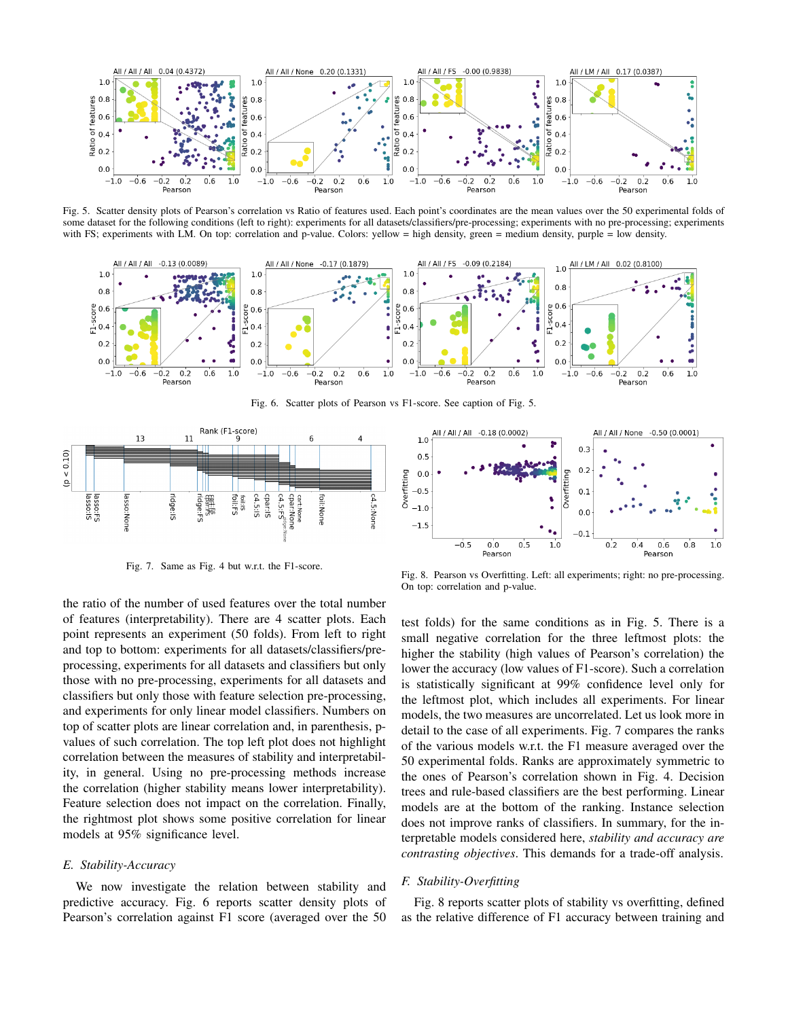

Fig. 5. Scatter density plots of Pearson's correlation vs Ratio of features used. Each point's coordinates are the mean values over the 50 experimental folds of some dataset for the following conditions (left to right): experiments for all datasets/classifiers/pre-processing; experiments with no pre-processing; experiments with FS; experiments with LM. On top: correlation and p-value. Colors: yellow = high density, green = medium density, purple = low density.



Fig. 6. Scatter plots of Pearson vs F1-score. See caption of Fig. 5.



Fig. 7. Same as Fig. 4 but w.r.t. the F1-score.

the ratio of the number of used features over the total number of features (interpretability). There are 4 scatter plots. Each point represents an experiment (50 folds). From left to right and top to bottom: experiments for all datasets/classifiers/preprocessing, experiments for all datasets and classifiers but only those with no pre-processing, experiments for all datasets and classifiers but only those with feature selection pre-processing, and experiments for only linear model classifiers. Numbers on top of scatter plots are linear correlation and, in parenthesis, pvalues of such correlation. The top left plot does not highlight correlation between the measures of stability and interpretability, in general. Using no pre-processing methods increase the correlation (higher stability means lower interpretability). Feature selection does not impact on the correlation. Finally, the rightmost plot shows some positive correlation for linear models at 95% significance level.

# *E. Stability-Accuracy*

We now investigate the relation between stability and predictive accuracy. Fig. 6 reports scatter density plots of Pearson's correlation against F1 score (averaged over the 50



test folds) for the same conditions as in Fig. 5. There is a small negative correlation for the three leftmost plots: the higher the stability (high values of Pearson's correlation) the lower the accuracy (low values of F1-score). Such a correlation is statistically significant at 99% confidence level only for the leftmost plot, which includes all experiments. For linear models, the two measures are uncorrelated. Let us look more in detail to the case of all experiments. Fig. 7 compares the ranks of the various models w.r.t. the F1 measure averaged over the 50 experimental folds. Ranks are approximately symmetric to the ones of Pearson's correlation shown in Fig. 4. Decision trees and rule-based classifiers are the best performing. Linear models are at the bottom of the ranking. Instance selection does not improve ranks of classifiers. In summary, for the interpretable models considered here, *stability and accuracy are contrasting objectives*. This demands for a trade-off analysis.

#### *F. Stability-Overfitting*

On top: correlation and p-value.

Fig. 8 reports scatter plots of stability vs overfitting, defined as the relative difference of F1 accuracy between training and

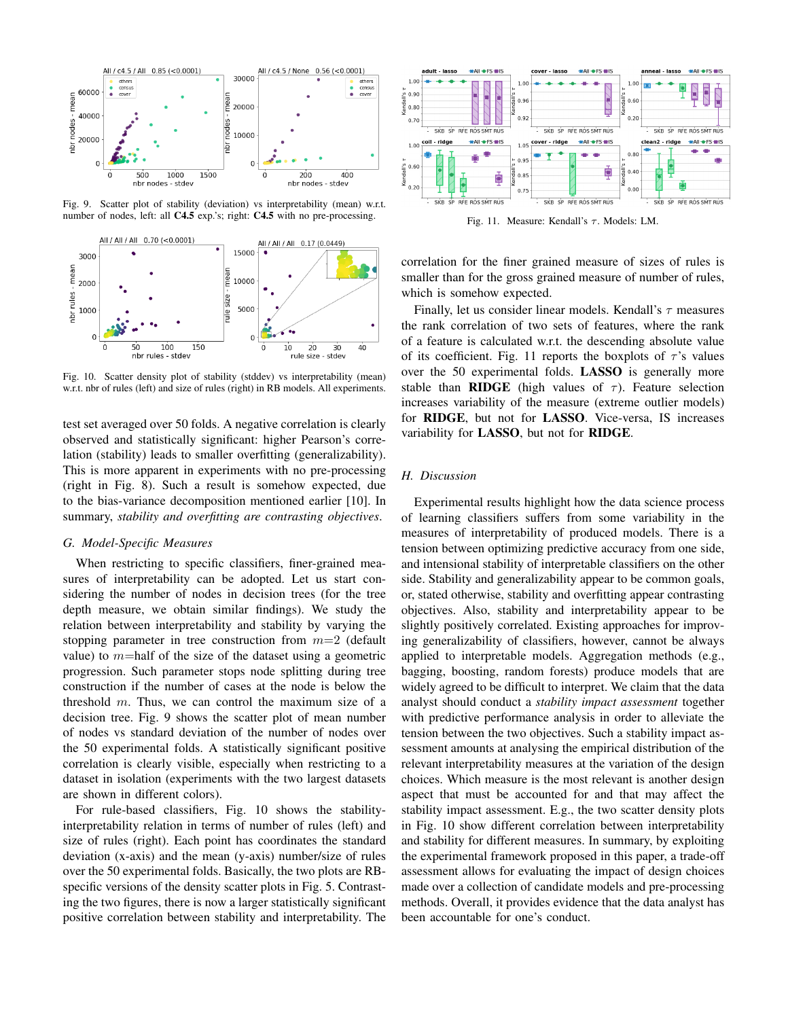

Fig. 9. Scatter plot of stability (deviation) vs interpretability (mean) w.r.t. number of nodes, left: all **C4.5** exp.'s; right: **C4.5** with no pre-processing.



Fig. 10. Scatter density plot of stability (stddev) vs interpretability (mean) w.r.t. nbr of rules (left) and size of rules (right) in RB models. All experiments.

test set averaged over 50 folds. A negative correlation is clearly observed and statistically significant: higher Pearson's correlation (stability) leads to smaller overfitting (generalizability). This is more apparent in experiments with no pre-processing (right in Fig. 8). Such a result is somehow expected, due to the bias-variance decomposition mentioned earlier [10]. In summary, *stability and overfitting are contrasting objectives*.

### *G. Model-Specific Measures*

When restricting to specific classifiers, finer-grained measures of interpretability can be adopted. Let us start considering the number of nodes in decision trees (for the tree depth measure, we obtain similar findings). We study the relation between interpretability and stability by varying the stopping parameter in tree construction from  $m=2$  (default value) to  $m$ =half of the size of the dataset using a geometric progression. Such parameter stops node splitting during tree construction if the number of cases at the node is below the threshold  $m$ . Thus, we can control the maximum size of a decision tree. Fig. 9 shows the scatter plot of mean number of nodes vs standard deviation of the number of nodes over the 50 experimental folds. A statistically significant positive correlation is clearly visible, especially when restricting to a dataset in isolation (experiments with the two largest datasets are shown in different colors).

For rule-based classifiers, Fig. 10 shows the stabilityinterpretability relation in terms of number of rules (left) and size of rules (right). Each point has coordinates the standard deviation (x-axis) and the mean (y-axis) number/size of rules over the 50 experimental folds. Basically, the two plots are RBspecific versions of the density scatter plots in Fig. 5. Contrasting the two figures, there is now a larger statistically significant positive correlation between stability and interpretability. The



Fig. 11. Measure: Kendall's  $\tau$ . Models: LM.

correlation for the finer grained measure of sizes of rules is smaller than for the gross grained measure of number of rules, which is somehow expected.

Finally, let us consider linear models. Kendall's  $\tau$  measures the rank correlation of two sets of features, where the rank of a feature is calculated w.r.t. the descending absolute value of its coefficient. Fig. 11 reports the boxplots of  $\tau$ 's values over the 50 experimental folds. LASSO is generally more stable than **RIDGE** (high values of  $\tau$ ). Feature selection increases variability of the measure (extreme outlier models) for RIDGE, but not for LASSO. Vice-versa, IS increases variability for LASSO, but not for RIDGE.

## *H. Discussion*

Experimental results highlight how the data science process of learning classifiers suffers from some variability in the measures of interpretability of produced models. There is a tension between optimizing predictive accuracy from one side, and intensional stability of interpretable classifiers on the other side. Stability and generalizability appear to be common goals, or, stated otherwise, stability and overfitting appear contrasting objectives. Also, stability and interpretability appear to be slightly positively correlated. Existing approaches for improving generalizability of classifiers, however, cannot be always applied to interpretable models. Aggregation methods (e.g., bagging, boosting, random forests) produce models that are widely agreed to be difficult to interpret. We claim that the data analyst should conduct a *stability impact assessment* together with predictive performance analysis in order to alleviate the tension between the two objectives. Such a stability impact assessment amounts at analysing the empirical distribution of the relevant interpretability measures at the variation of the design choices. Which measure is the most relevant is another design aspect that must be accounted for and that may affect the stability impact assessment. E.g., the two scatter density plots in Fig. 10 show different correlation between interpretability and stability for different measures. In summary, by exploiting the experimental framework proposed in this paper, a trade-off assessment allows for evaluating the impact of design choices made over a collection of candidate models and pre-processing methods. Overall, it provides evidence that the data analyst has been accountable for one's conduct.